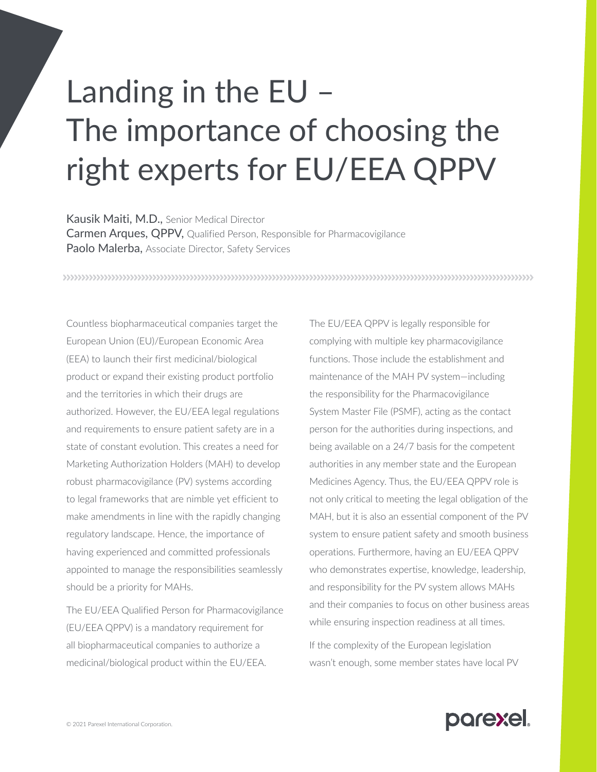## Landing in the EU – The importance of choosing the right experts for EU/EEA QPPV

Kausik Maiti, M.D., Senior Medical Director Carmen Arques, QPPV, Qualified Person, Responsible for Pharmacovigilance Paolo Malerba, Associate Director, Safety Services

Countless biopharmaceutical companies target the European Union (EU)/European Economic Area (EEA) to launch their first medicinal/biological product or expand their existing product portfolio and the territories in which their drugs are authorized. However, the EU/EEA legal regulations and requirements to ensure patient safety are in a state of constant evolution. This creates a need for Marketing Authorization Holders (MAH) to develop robust pharmacovigilance (PV) systems according to legal frameworks that are nimble yet efficient to make amendments in line with the rapidly changing regulatory landscape. Hence, the importance of having experienced and committed professionals appointed to manage the responsibilities seamlessly should be a priority for MAHs.

The EU/EEA Qualified Person for Pharmacovigilance (EU/EEA QPPV) is a mandatory requirement for all biopharmaceutical companies to authorize a medicinal/biological product within the EU/EEA.

The EU/EEA QPPV is legally responsible for complying with multiple key pharmacovigilance functions. Those include the establishment and maintenance of the MAH PV system—including the responsibility for the Pharmacovigilance System Master File (PSMF), acting as the contact person for the authorities during inspections, and being available on a 24/7 basis for the competent authorities in any member state and the European Medicines Agency. Thus, the EU/EEA QPPV role is not only critical to meeting the legal obligation of the MAH, but it is also an essential component of the PV system to ensure patient safety and smooth business operations. Furthermore, having an EU/EEA QPPV who demonstrates expertise, knowledge, leadership, and responsibility for the PV system allows MAHs and their companies to focus on other business areas while ensuring inspection readiness at all times.

If the complexity of the European legislation wasn't enough, some member states have local PV

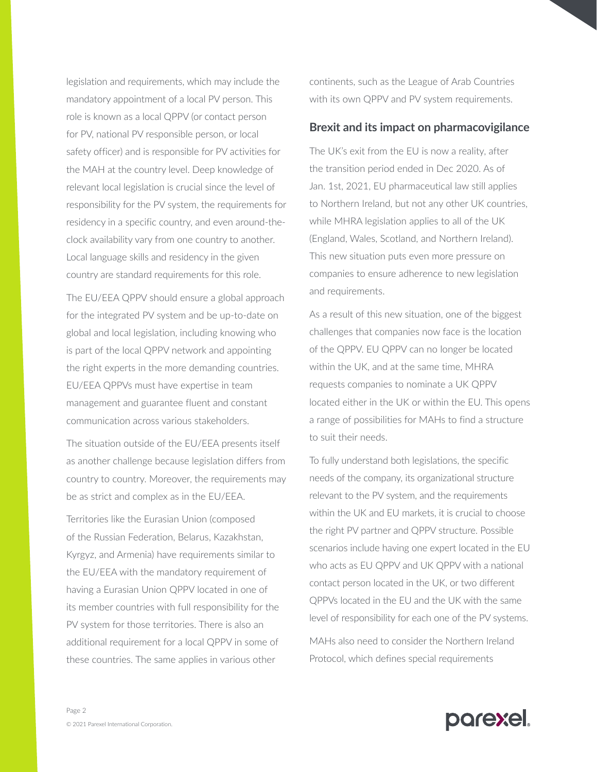legislation and requirements, which may include the mandatory appointment of a local PV person. This role is known as a local QPPV (or contact person for PV, national PV responsible person, or local safety officer) and is responsible for PV activities for the MAH at the country level. Deep knowledge of relevant local legislation is crucial since the level of responsibility for the PV system, the requirements for residency in a specific country, and even around-theclock availability vary from one country to another. Local language skills and residency in the given country are standard requirements for this role.

The EU/EEA QPPV should ensure a global approach for the integrated PV system and be up-to-date on global and local legislation, including knowing who is part of the local QPPV network and appointing the right experts in the more demanding countries. EU/EEA QPPVs must have expertise in team management and guarantee fluent and constant communication across various stakeholders.

The situation outside of the EU/EEA presents itself as another challenge because legislation differs from country to country. Moreover, the requirements may be as strict and complex as in the EU/EEA.

Territories like the Eurasian Union (composed of the Russian Federation, Belarus, Kazakhstan, Kyrgyz, and Armenia) have requirements similar to the EU/EEA with the mandatory requirement of having a Eurasian Union QPPV located in one of its member countries with full responsibility for the PV system for those territories. There is also an additional requirement for a local QPPV in some of these countries. The same applies in various other

continents, such as the League of Arab Countries with its own QPPV and PV system requirements.

## **Brexit and its impact on pharmacovigilance**

The UK's exit from the EU is now a reality, after the transition period ended in Dec 2020. As of Jan. 1st, 2021, EU pharmaceutical law still applies to Northern Ireland, but not any other UK countries, while MHRA legislation applies to all of the UK (England, Wales, Scotland, and Northern Ireland). This new situation puts even more pressure on companies to ensure adherence to new legislation and requirements.

As a result of this new situation, one of the biggest challenges that companies now face is the location of the QPPV. EU QPPV can no longer be located within the UK, and at the same time, MHRA requests companies to nominate a UK QPPV located either in the UK or within the EU. This opens a range of possibilities for MAHs to find a structure to suit their needs.

To fully understand both legislations, the specific needs of the company, its organizational structure relevant to the PV system, and the requirements within the UK and EU markets, it is crucial to choose the right PV partner and QPPV structure. Possible scenarios include having one expert located in the EU who acts as EU QPPV and UK QPPV with a national contact person located in the UK, or two different QPPVs located in the EU and the UK with the same level of responsibility for each one of the PV systems.

MAHs also need to consider the Northern Ireland Protocol, which defines special requirements

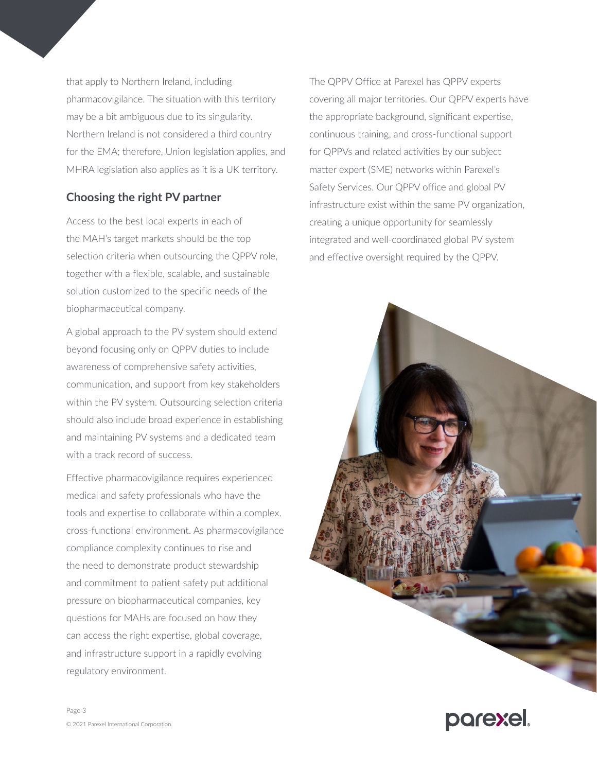that apply to Northern Ireland, including pharmacovigilance. The situation with this territory may be a bit ambiguous due to its singularity. Northern Ireland is not considered a third country for the EMA; therefore, Union legislation applies, and MHRA legislation also applies as it is a UK territory.

## **Choosing the right PV partner**

Access to the best local experts in each of the MAH's target markets should be the top selection criteria when outsourcing the QPPV role, together with a flexible, scalable, and sustainable solution customized to the specific needs of the biopharmaceutical company.

A global approach to the PV system should extend beyond focusing only on QPPV duties to include awareness of comprehensive safety activities, communication, and support from key stakeholders within the PV system. Outsourcing selection criteria should also include broad experience in establishing and maintaining PV systems and a dedicated team with a track record of success.

Effective pharmacovigilance requires experienced medical and safety professionals who have the tools and expertise to collaborate within a complex, cross-functional environment. As pharmacovigilance compliance complexity continues to rise and the need to demonstrate product stewardship and commitment to patient safety put additional pressure on biopharmaceutical companies, key questions for MAHs are focused on how they can access the right expertise, global coverage, and infrastructure support in a rapidly evolving regulatory environment.

The QPPV Office at Parexel has QPPV experts covering all major territories. Our QPPV experts have the appropriate background, significant expertise, continuous training, and cross-functional support for QPPVs and related activities by our subject matter expert (SME) networks within Parexel's Safety Services. Our QPPV office and global PV infrastructure exist within the same PV organization, creating a unique opportunity for seamlessly integrated and well-coordinated global PV system and effective oversight required by the QPPV.